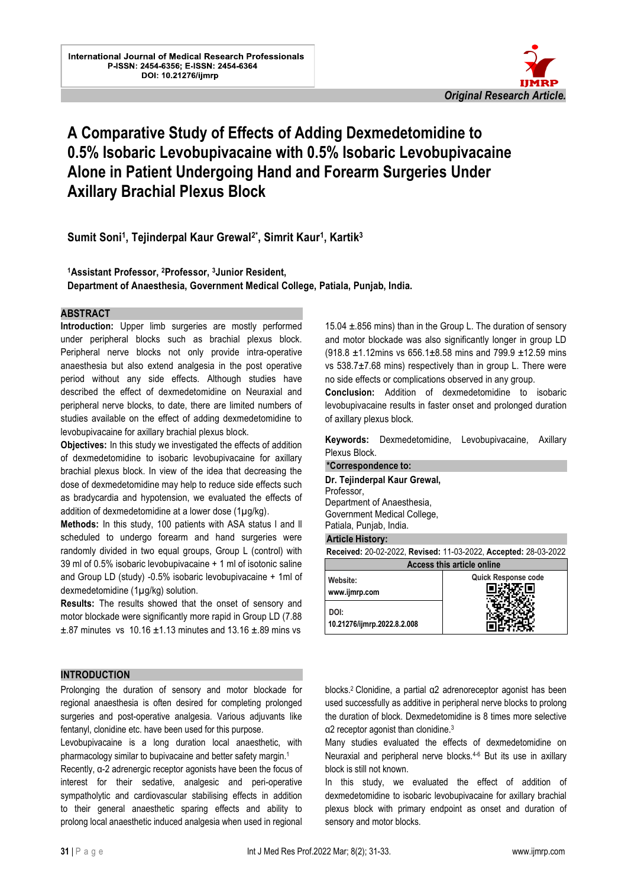

# **A Comparative Study of Effects of Adding Dexmedetomidine to 0.5% Isobaric Levobupivacaine with 0.5% Isobaric Levobupivacaine Alone in Patient Undergoing Hand and Forearm Surgeries Under Axillary Brachial Plexus Block**

l.

**Sumit Soni<sup>1</sup> , Tejinderpal Kaur Grewal2\* , Simrit Kaur<sup>1</sup> , Kartik<sup>3</sup>**

**<sup>1</sup>Assistant Professor, 2Professor, 3Junior Resident,** 

**Department of Anaesthesia, Government Medical College, Patiala, Punjab, India.**

#### **ABSTRACT**

**Introduction:** Upper limb surgeries are mostly performed under peripheral blocks such as brachial plexus block. Peripheral nerve blocks not only provide intra-operative anaesthesia but also extend analgesia in the post operative period without any side effects. Although studies have described the effect of dexmedetomidine on Neuraxial and peripheral nerve blocks, to date, there are limited numbers of studies available on the effect of adding dexmedetomidine to levobupivacaine for axillary brachial plexus block.

**Objectives:** In this study we investigated the effects of addition of dexmedetomidine to isobaric levobupivacaine for axillary brachial plexus block. In view of the idea that decreasing the dose of dexmedetomidine may help to reduce side effects such as bradycardia and hypotension, we evaluated the effects of addition of dexmedetomidine at a lower dose (1µg/kg).

**Methods:** In this study, 100 patients with ASA status l and ll scheduled to undergo forearm and hand surgeries were randomly divided in two equal groups, Group L (control) with 39 ml of 0.5% isobaric levobupivacaine + 1 ml of isotonic saline and Group LD (study) -0.5% isobaric levobupivacaine + 1ml of dexmedetomidine (1µg/kg) solution.

**Results:** The results showed that the onset of sensory and motor blockade were significantly more rapid in Group LD (7.88  $\pm$ .87 minutes vs 10.16  $\pm$ 1.13 minutes and 13.16  $\pm$ .89 mins vs

15.04 ±.856 mins) than in the Group L. The duration of sensory and motor blockade was also significantly longer in group LD  $(918.8 \pm 1.12)$ mins vs 656.1 $\pm$ 8.58 mins and 799.9  $\pm$ 12.59 mins vs 538.7±7.68 mins) respectively than in group L. There were no side effects or complications observed in any group.

**Conclusion:** Addition of dexmedetomidine to isobaric levobupivacaine results in faster onset and prolonged duration of axillary plexus block.

**Keywords:** Dexmedetomidine, Levobupivacaine, Axillary Plexus Block.

| *Correspondence to:               |                                                                 |  |  |  |  |
|-----------------------------------|-----------------------------------------------------------------|--|--|--|--|
| Dr. Tejinderpal Kaur Grewal,      |                                                                 |  |  |  |  |
| Professor,                        |                                                                 |  |  |  |  |
| Department of Anaesthesia,        |                                                                 |  |  |  |  |
| Government Medical College,       |                                                                 |  |  |  |  |
| Patiala, Punjab, India.           |                                                                 |  |  |  |  |
| <b>Article History:</b>           |                                                                 |  |  |  |  |
|                                   | Received: 20-02-2022, Revised: 11-03-2022, Accepted: 28-03-2022 |  |  |  |  |
| <b>Access this article online</b> |                                                                 |  |  |  |  |
| Website:                          | Quick Response code                                             |  |  |  |  |
| www.ijmrp.com                     |                                                                 |  |  |  |  |
|                                   |                                                                 |  |  |  |  |
| DOI:                              |                                                                 |  |  |  |  |

**10.21276/ijmrp.2022.8.2.008**

#### **INTRODUCTION**

Prolonging the duration of sensory and motor blockade for regional anaesthesia is often desired for completing prolonged surgeries and post-operative analgesia. Various adjuvants like fentanyl, clonidine etc. have been used for this purpose.

Levobupivacaine is a long duration local anaesthetic, with pharmacology similar to bupivacaine and better safety margin.<sup>1</sup>

Recently, α-2 adrenergic receptor agonists have been the focus of interest for their sedative, analgesic and peri-operative sympatholytic and cardiovascular stabilising effects in addition to their general anaesthetic sparing effects and ability to prolong local anaesthetic induced analgesia when used in regional

blocks.2 Clonidine, a partial α2 adrenoreceptor agonist has been used successfully as additive in peripheral nerve blocks to prolong the duration of block. Dexmedetomidine is 8 times more selective α2 receptor agonist than clonidine.<sup>3</sup>

Many studies evaluated the effects of dexmedetomidine on Neuraxial and peripheral nerve blocks.4-6 But its use in axillary block is still not known.

In this study, we evaluated the effect of addition of dexmedetomidine to isobaric levobupivacaine for axillary brachial plexus block with primary endpoint as onset and duration of sensory and motor blocks.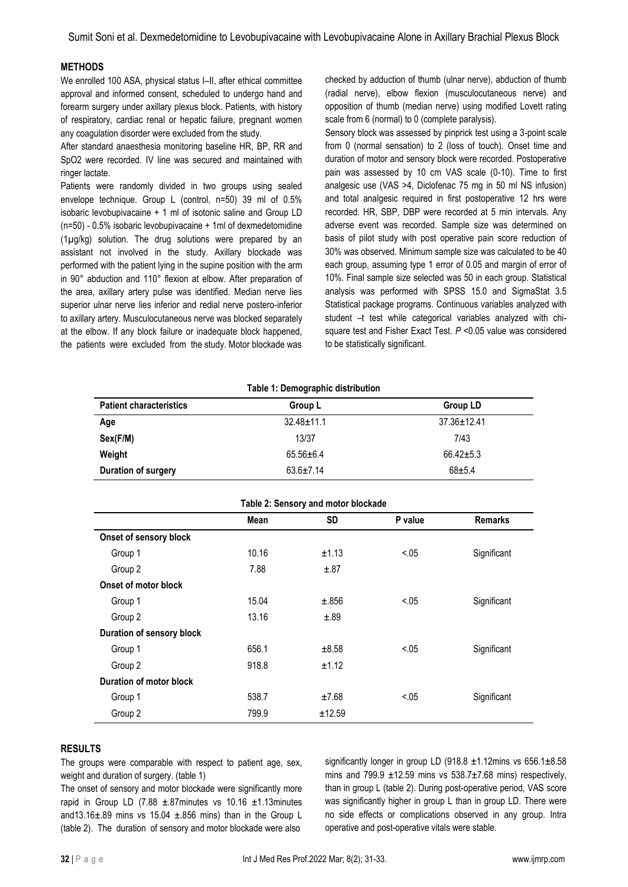Sumit Soni et al. Dexmedetomidine to Levobupivacaine with Levobupivacaine Alone in Axillary Brachial Plexus Block

#### **METHODS**

We enrolled 100 ASA, physical status I–II, after ethical committee approval and informed consent, scheduled to undergo hand and forearm surgery under axillary plexus block. Patients, with history of respiratory, cardiac renal or hepatic failure, pregnant women any coagulation disorder were excluded from the study.

After standard anaesthesia monitoring baseline HR, BP, RR and SpO2 were recorded. IV line was secured and maintained with ringer lactate.

Patients were randomly divided in two groups using sealed envelope technique. Group L (control, n=50) 39 ml of 0.5% isobaric levobupivacaine + 1 ml of isotonic saline and Group LD (n=50) - 0.5% isobaric levobupivacaine + 1ml of dexmedetomidine (1µg/kg) solution. The drug solutions were prepared by an assistant not involved in the study. Axillary blockade was performed with the patient lying in the supine position with the arm in 90° abduction and 110° flexion at elbow. After preparation of the area, axillary artery pulse was identified. Median nerve lies superior ulnar nerve lies inferior and redial nerve postero-inferior to axillary artery. Musculocutaneous nerve was blocked separately at the elbow. If any block failure or inadequate block happened, the patients were excluded from the study. Motor blockade was

checked by adduction of thumb (ulnar nerve), abduction of thumb (radial nerve), elbow flexion (musculocutaneous nerve) and opposition of thumb (median nerve) using modified Lovett rating scale from 6 (normal) to 0 (complete paralysis).

Sensory block was assessed by pinprick test using a 3-point scale from 0 (normal sensation) to 2 (loss of touch). Onset time and duration of motor and sensory block were recorded. Postoperative pain was assessed by 10 cm VAS scale (0-10). Time to first analgesic use (VAS >4, Diclofenac 75 mg in 50 ml NS infusion) and total analgesic required in first postoperative 12 hrs were recorded. HR, SBP, DBP were recorded at 5 min intervals. Any adverse event was recorded. Sample size was determined on basis of pilot study with post operative pain score reduction of 30% was observed. Minimum sample size was calculated to be 40 each group, assuming type 1 error of 0.05 and margin of error of 10%. Final sample size selected was 50 in each group. Statistical analysis was performed with SPSS 15.0 and SigmaStat 3.5 Statistical package programs. Continuous variables analyzed with student –t test while categorical variables analyzed with chisquare test and Fisher Exact Test. *P* <0.05 value was considered to be statistically significant.

| Table 1: Demographic distribution |                  |                   |  |  |  |
|-----------------------------------|------------------|-------------------|--|--|--|
| <b>Patient characteristics</b>    | Group L          | Group LD          |  |  |  |
| Age                               | $32.48 \pm 11.1$ | $37.36 \pm 12.41$ |  |  |  |
| Sex(F/M)                          | 13/37            | 7/43              |  |  |  |
| Weight                            | $65.56 \pm 6.4$  | $66.42 \pm 5.3$   |  |  |  |
| Duration of surgery               | $63.6 \pm 7.14$  | $68 + 5.4$        |  |  |  |

| Table 2: Sensory and motor blockade |       |           |         |                |  |
|-------------------------------------|-------|-----------|---------|----------------|--|
|                                     | Mean  | <b>SD</b> | P value | <b>Remarks</b> |  |
| Onset of sensory block              |       |           |         |                |  |
| Group 1                             | 10.16 | ±1.13     | < 0.05  | Significant    |  |
| Group 2                             | 7.88  | ±.87      |         |                |  |
| Onset of motor block                |       |           |         |                |  |
| Group 1                             | 15.04 | ±.856     | < 0.05  | Significant    |  |
| Group 2                             | 13.16 | ±.89      |         |                |  |
| Duration of sensory block           |       |           |         |                |  |
| Group 1                             | 656.1 | ±8.58     | < 0.05  | Significant    |  |
| Group 2                             | 918.8 | ±1.12     |         |                |  |
| Duration of motor block             |       |           |         |                |  |
| Group 1                             | 538.7 | ±7.68     | < 0.05  | Significant    |  |
| Group 2                             | 799.9 | ±12.59    |         |                |  |

#### **RESULTS**

The groups were comparable with respect to patient age, sex, weight and duration of surgery. (table 1)

The onset of sensory and motor blockade were significantly more rapid in Group LD (7.88  $\pm$ .87minutes vs 10.16  $\pm$ 1.13minutes and13.16 $\pm$ .89 mins vs 15.04  $\pm$ .856 mins) than in the Group L (table 2). The duration of sensory and motor blockade were also

significantly longer in group LD (918.8  $\pm$ 1.12mins vs 656.1 $\pm$ 8.58 mins and 799.9  $\pm$ 12.59 mins vs 538.7 $\pm$ 7.68 mins) respectively, than in group L (table 2). During post-operative period, VAS score was significantly higher in group L than in group LD. There were no side effects or complications observed in any group. Intra operative and post-operative vitals were stable.